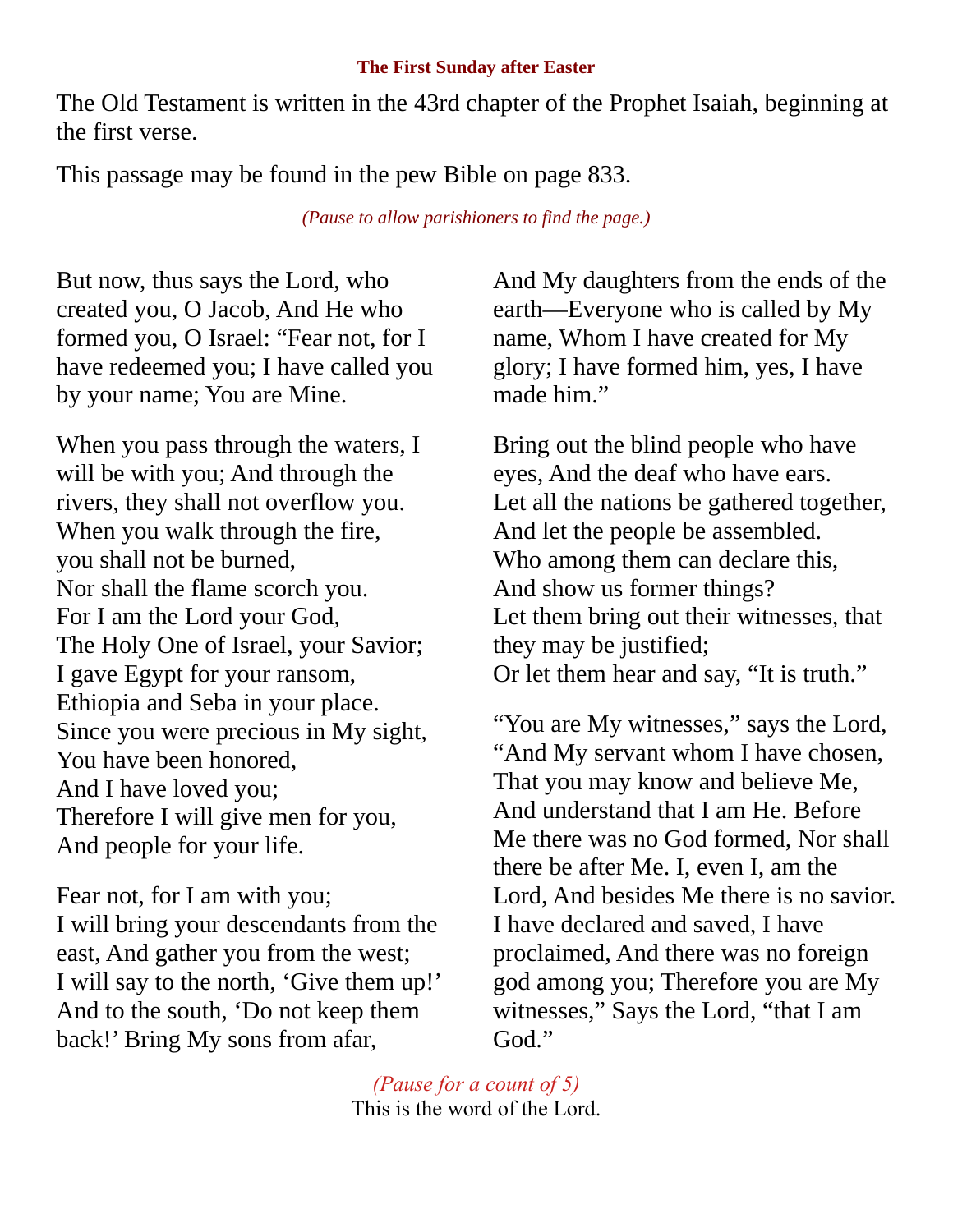## **The First Sunday after Easter**

The Old Testament is written in the 43rd chapter of the Prophet Isaiah, beginning at the first verse.

This passage may be found in the pew Bible on page 833.

*(Pause to allow parishioners to find the page.)*

But now, thus says the Lord, who created you, O Jacob, And He who formed you, O Israel: "Fear not, for I have redeemed you; I have called you by your name; You are Mine.

When you pass through the waters, I will be with you; And through the rivers, they shall not overflow you. When you walk through the fire, you shall not be burned, Nor shall the flame scorch you. For I am the Lord your God, The Holy One of Israel, your Savior; I gave Egypt for your ransom, Ethiopia and Seba in your place. Since you were precious in My sight, You have been honored, And I have loved you; Therefore I will give men for you, And people for your life.

Fear not, for I am with you; I will bring your descendants from the east, And gather you from the west; I will say to the north, 'Give them up!' And to the south, 'Do not keep them back!' Bring My sons from afar,

And My daughters from the ends of the earth—Everyone who is called by My name, Whom I have created for My glory; I have formed him, yes, I have made him."

Bring out the blind people who have eyes, And the deaf who have ears. Let all the nations be gathered together, And let the people be assembled. Who among them can declare this, And show us former things? Let them bring out their witnesses, that they may be justified; Or let them hear and say, "It is truth."

"You are My witnesses," says the Lord, "And My servant whom I have chosen, That you may know and believe Me, And understand that I am He. Before Me there was no God formed, Nor shall there be after Me. I, even I, am the Lord, And besides Me there is no savior. I have declared and saved, I have proclaimed, And there was no foreign god among you; Therefore you are My witnesses," Says the Lord, "that I am God."

*(Pause for a count of 5)* This is the word of the Lord.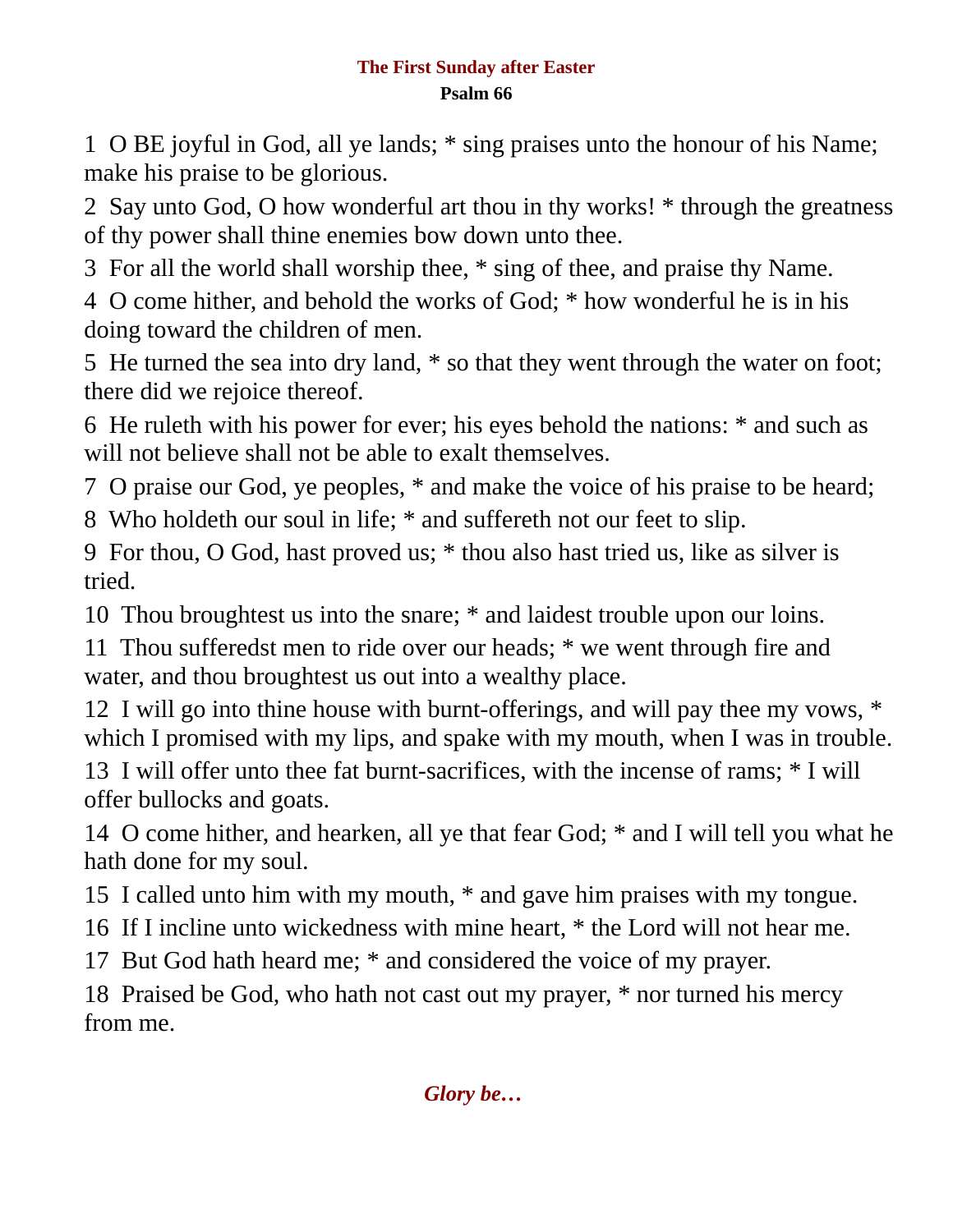## **The First Sunday after Easter Psalm 66**

1 O BE joyful in God, all ye lands; \* sing praises unto the honour of his Name; make his praise to be glorious.

2 Say unto God, O how wonderful art thou in thy works! \* through the greatness of thy power shall thine enemies bow down unto thee.

3 For all the world shall worship thee, \* sing of thee, and praise thy Name.

4 O come hither, and behold the works of God; \* how wonderful he is in his doing toward the children of men.

5 He turned the sea into dry land, \* so that they went through the water on foot; there did we rejoice thereof.

6 He ruleth with his power for ever; his eyes behold the nations: \* and such as will not believe shall not be able to exalt themselves.

7 O praise our God, ye peoples, \* and make the voice of his praise to be heard;

8 Who holdeth our soul in life; \* and suffereth not our feet to slip.

9 For thou, O God, hast proved us; \* thou also hast tried us, like as silver is tried.

10 Thou broughtest us into the snare; \* and laidest trouble upon our loins.

11 Thou sufferedst men to ride over our heads; \* we went through fire and water, and thou broughtest us out into a wealthy place.

12 I will go into thine house with burnt-offerings, and will pay thee my vows, \* which I promised with my lips, and spake with my mouth, when I was in trouble.

13 I will offer unto thee fat burnt-sacrifices, with the incense of rams; \* I will offer bullocks and goats.

14 O come hither, and hearken, all ye that fear God; \* and I will tell you what he hath done for my soul.

15 I called unto him with my mouth, \* and gave him praises with my tongue.

16 If I incline unto wickedness with mine heart, \* the Lord will not hear me.

17 But God hath heard me; \* and considered the voice of my prayer.

18 Praised be God, who hath not cast out my prayer, \* nor turned his mercy from me.